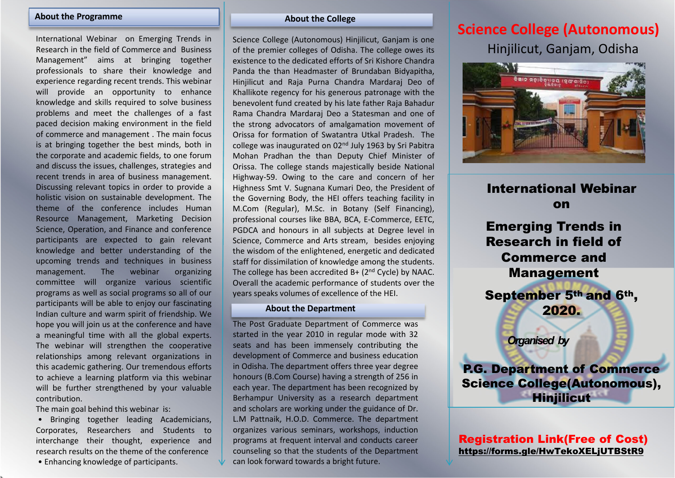#### **About the Programme**

International Webinar on Emerging Trends in Research in the field of Commerce and BusinessManagement" aims at bringing together professionals to share their knowledge and experience regarding recent trends. This webinar will provide an opportunity to enhance knowledge and skills required to solve business problems and meet the challenges of <sup>a</sup> fast paced decision making environment in the field of commerce and management . The main focus is at bringing together the best minds, both in the corporate and academic fields, to one forum and discuss the issues, challenges, strategies and recent trends in area of business management. Discussing relevant topics in order to provide <sup>a</sup> holistic vision on sustainable development. The theme of the conference includes HumanResource Management, Marketing Decision Science, Operation, and Finance and conference participants are expected to gain relevant knowledge and better understanding of the upcoming trends and techniques in business management. The webinar organizing committee will organize various scientific programs as well as social programs so all of our participants will be able to enjoy our fascinating Indian culture and warm spirit of friendship. We hope you will join us at the conference and have <sup>a</sup> meaningful time with all the global experts. The webinar will strengthen the cooperative relationships among relevant organizations in this academic gathering. Our tremendous efforts to achieve <sup>a</sup> learning platform via this webinar will be further strengthened by your valuable contribution.

The main goal behind this webinar is:

• Bringing together leading Academicians, Corporates, Researchers and Students to interchange their thought, experience and research results on the theme of the conference

• Enhancing knowledge of participants.

#### **About the College**

Science College (Autonomous) Hinjilicut, Ganjam is one of the premier colleges of Odisha. The college owes its existence to the dedicated efforts of Sri Kishore ChandraPanda the than Headmaster of Brundaban Bidyapitha, Hinjilicut and Raja Purna Chandra Mardaraj Deo of Khallikote regency for his generous patronage with the benevolent fund created by his late father Raja Bahadur Rama Chandra Mardaraj Deo <sup>a</sup> Statesman and one of the strong advocators of amalgamation movement of Orissa for formation of Swatantra Utkal Pradesh. The college was inaugurated on 02n<sup>d</sup> July <sup>1963</sup> by Sri Pabitra Mohan Pradhan the than Deputy Chief Minister of Orissa. The college stands majestically beside National Highway‐59. Owing to the care and concern of her Highness Smt V. Sugnana Kumari Deo, the President of the Governing Body, the HEI offers teaching facility in M.Com (Regular), M.Sc. in Botany (Self Financing), professional courses like BBA, BCA, E‐Commerce, EETC, PGDCA and honours in all subjects at Degree level in Science, Commerce and Arts stream, besides enjoying the wisdom of the enlightened, energetic and dedicated staff for dissimilation of knowledge among the students. The college has been accredited B+ (2nd Cycle) by NAAC. Overall the academic performance of students over the years speaks volumes of excellence of the HEI.

#### **About the Department**

The Post Graduate Department of Commerce was started in the year 2010 in regular mode with 32 seats and has been immensely contributing the development of Commerce and business education in Odisha. The department offers three year degree honours (B.Com Course) having <sup>a</sup> strength of 256 in each year. The department has been recognized by Berhampur University as <sup>a</sup> research department and scholars are working under the guidance of Dr. L.M Pattnaik, H.O.D. Commerce. The department organizes various seminars, workshops, induction programs at frequent interval and conducts career counseling so that the students of the Department can look forward towards <sup>a</sup> bright future.

# **Science College (Autonomous)**

Hinjilicut, Ganjam, Odisha



International Webinaron

Emerging Trends in Research in field of Commerce and Management September 5th and 6th, 2020.

*Organised by*

P.G. Department of Commerce Science College(Autonomous), **Hinjilicut** 

# Registration Link(Free of Cost) https://forms.gle/HwTekoXELjUTBStR9